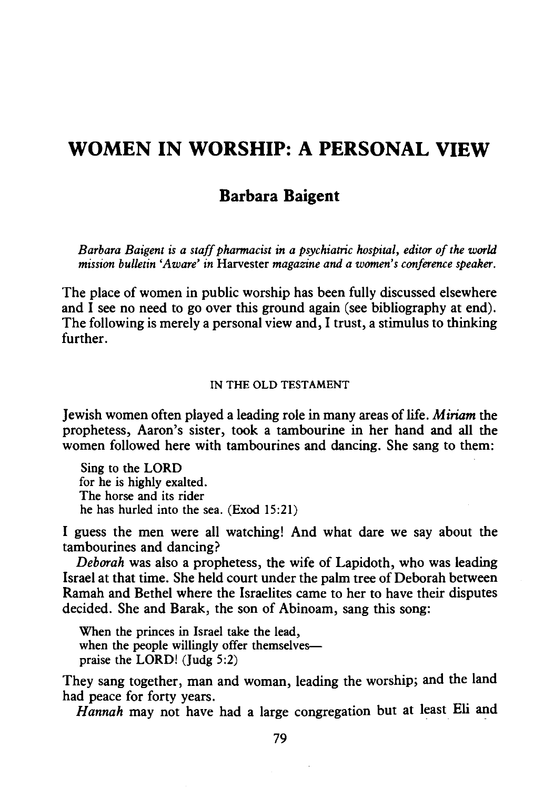# **WOMEN IN WORSHIP: A PERSONAL VIEW**

# **Barbara Baigent**

*Barbara Baigent is a staff pharmacist in a psychiatric hospital, editor of the world mission bulletin 'Aware' in* Harvester *magazine and a women's conference speaker.* 

The place of women in public worship has been fully discussed elsewhere and  $\overline{I}$  see no need to go over this ground again (see bibliography at end). The following is merely a personal view and, I trust, a stimulus to thinking further.

### IN THE OLD TESTAMENT

Jewish women often played a leading role in many areas of life. *Miriam* the prophetess, Aaron's sister, took a tambourine in her hand and all the women followed here with tambourines and dancing. She sang to them:

Sing to the LORD for he is highly exalted. The horse and its rider he has hurled into the sea. (Exod 15:21)

I guess the men were all watching! And what dare we say about the tambourines and dancing?

*Deborah* was also a prophetess, the wife of Lapidoth, who was leading Israel at that time. She held court under the palm tree of Deborah between Ramah and Bethel where the Israelites came to her to have their disputes decided. She and Barak, the son of Abinoam, sang this song:

When the princes in Israel take the lead, when the people willingly offer themselvespraise the LORD! (Judg 5:2)

They sang together, man and woman, leading the worship; and the land had peace for forty years.

*Hannah* may not have had a large congregation but at least Eli and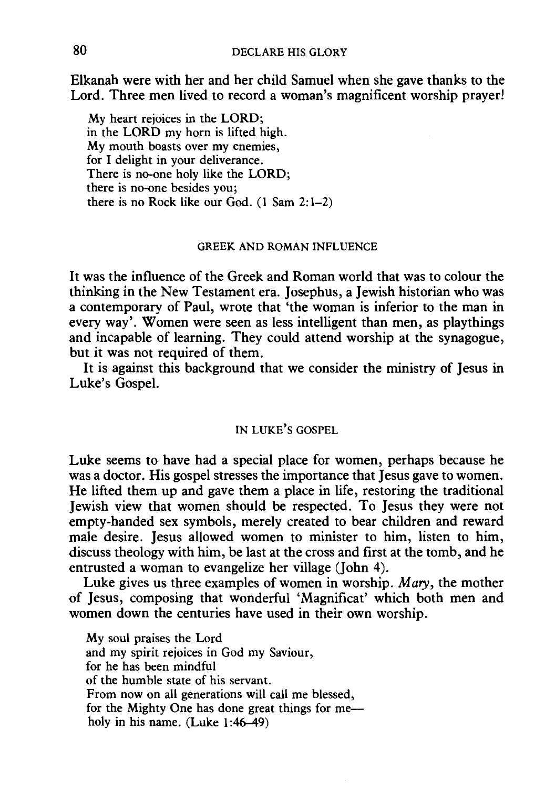Elkanah were with her and her child Samuel when she gave thanks to the Lord. Three men lived to record a woman's magnificent worship prayer!

My heart rejoices in the LORD; in the LORD my horn is lifted high. My mouth boasts over my enemies, for I delight in your deliverance. There is no-one holy like the LORD; there is no-one besides you; there is no Rock like our God.  $(1 \text{ Sam } 2: 1-2)$ 

### GREEK AND ROMAN INFLUENCE

It was the influence of the Greek and Roman world that was to colour the thinking in the New Testament era. Josephus, a Jewish historian who was a contemporary of Paul, wrote that 'the woman is inferior to the man in every way'. Women were seen as less intelligent than men, as playthings and incapable of learning. They could attend worship at the synagogue, but it was not required of them.

It is against this background that we consider the ministry of Jesus in Luke's Gospel.

### IN LUKE'S GOSPEL

Luke seems to have had a special place for women, perhaps because he was a doctor. His gospel stresses the importance that Jesus gave to women. He lifted them up and gave them a place in life, restoring the traditional Jewish view that women should be respected. To Jesus they were not empty-handed sex symbols, merely created to bear children and reward male desire. Jesus allowed women to minister to him, listen to him, discuss theology with him, be last at the cross and first at the tomb, and he entrusted a woman to evangelize her village (John 4).

Luke gives us three examples of women in worship. *Mary,* the mother of Jesus, composing that wonderful 'Magnificat' which both men and women down the centuries have used in their own worship.

My soul praises the Lord and my spirit rejoices in God my Saviour, for he has been mindful of the humble state of his servant. From now on all generations will call me blessed, for the Mighty One has done great things for meholy in his name. (Luke 1:46-49)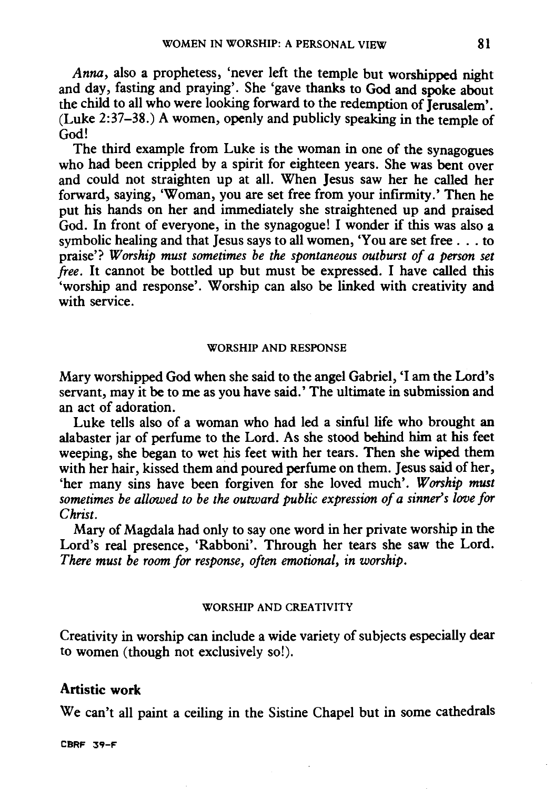*Anna,* also a prophetess, 'never left the temple but worshipped night and day, fasting and praying'. She 'gave thanks to God and spoke about the child to all who were looking forward to the redemption of Jerusalem'. (Luke 2:37-38.) A women, openly and publicly speaking in the temple of God!

The third example from Luke is the woman in one of the synagogues who had been crippled by a spirit for eighteen years. She was bent over and could not straighten up at all. When Jesus saw her he called her forward, saying, 'Woman, you are set free from your infirmity.' Then he put his hands on her and immediately she straightened up and praised God. In front of everyone, in the synagogue! I wonder if this was also a symbolic healing and that Jesus says to all women, 'You are set free . . . to praise'? *Worship must sometimes be the spontaneous outburst of a person set free.* It cannot be bottled up but must be expressed. I have called this 'worship and response'. Worship can also be linked with creativity and with service.

#### WORSHIP AND RESPONSE

Mary worshipped God when she said to the angel Gabriel, 'I am the Lord's servant, may it be to me as you have said.' The ultimate in submission and an act of adoration.

Luke tells also of a woman who had led a sinful life who brought an alabaster jar of perfume to the Lord. As she stood behind him at his feet weeping, she began to wet his feet with her tears. Then she wiped them with her hair, kissed them and poured perfume on them. Jesus said of her, 'her many sins have been forgiven for she loved much'. *Worship must sometimes be allowed to be the outward public expression of a sinner's love for Christ.* 

Mary of Magdala had only to say one word in her private worship in the Lord's real presence, 'Rabboni'. Through her tears she saw the Lord. *There must be room for response, often emotional, in worship.* 

### WORSHIP AND CREATIVITY

Creativity in worship can include a wide variety of subjects especially dear to women (though not exclusively so!).

### Artistic work

We can't all paint a ceiling in the Sistine Chapel but in some cathedrals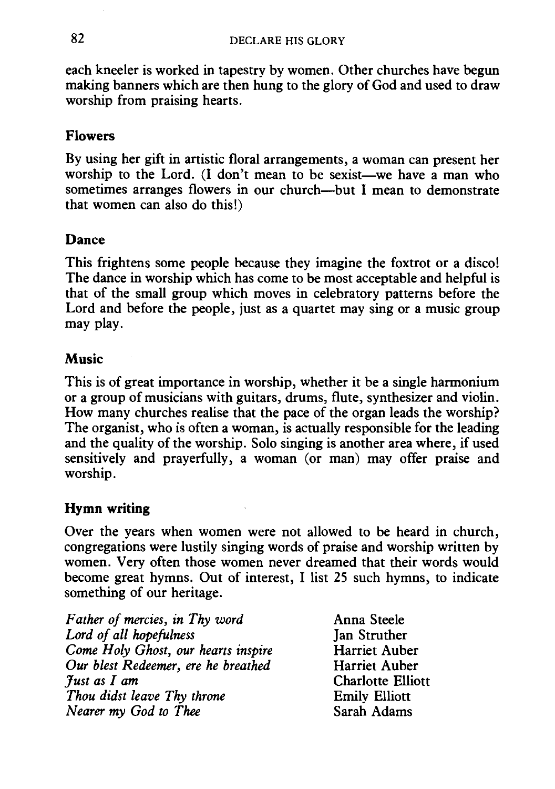each kneeler is worked in tapestry by women. Other churches have begun making banners which are then hung to the glory of God and used to draw worship from praising hearts.

# **Flowers**

By using her gift in artistic floral arrangements, a woman can present her worship to the Lord. (I don't mean to be sexist-we have a man who sometimes arranges flowers in our church-but I mean to demonstrate that women can also do this!)

# **Dance**

This frightens some people because they imagine the foxtrot or a disco! The dance in worship which has come to be most acceptable and helpful is that of the small group which moves in celebratory patterns before the Lord and before the people, just as a quartet may sing or a music group may play.

### **Music**

This is of great importance in worship, whether it be a single harmonium or a group of musicians with guitars, drums, flute, synthesizer and violin. How many churches realise that the pace of the organ leads the worship? The organist, who is often a woman, is actually responsible for the leading and the quality of the worship. Solo singing is another area where, if used sensitively and prayerfully, a woman (or man) may offer praise and worship.

### **Hymn writing**

Over the years when women were not allowed to be heard in church, congregations were lustily singing words of praise and worship written by women. Very often those women never dreamed that their words would become great hymns. Out of interest, I list 25 such hymns, to indicate something of our heritage.

| Father of mercies, in Thy word      |
|-------------------------------------|
| Lord of all hopefulness             |
| Come Holy Ghost, our hearts inspire |
| Our blest Redeemer, ere he breathed |
| Just as I am                        |
| Thou didst leave Thy throne         |
| Nearer my God to Thee               |

Anna Steele Ian Struther Harriet Auber Harriet Auber Charlotte Elliott Emily Elliott Sarah Adams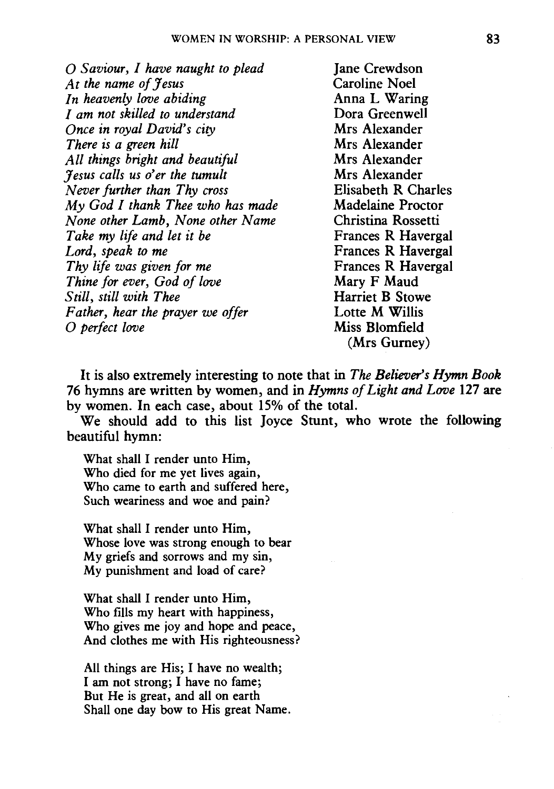0 *Saviour, I have naught to plead At the name of Jesus In heavenly love abiding I am not skilled to understand Once in royal David's city There is a green hill All things bright and beautiful Jesus calls us o'er the tumult Never further than Thy cross My God I thank Thee who has made None other Lamb, None other Name Take my life and let it be Lord, speak to me Thy life was given for me Thine for ever, God of love Still, still with Thee Father, hear the prayer we offer*  0 *perfect love* 

**Jane Crewdson** Caroline Noel Anna L Waring Dora Greenwell Mrs Alexander Mrs Alexander Mrs Alexander Mrs Alexander Elisabeth R Charles Madelaine Proctor Christina Rossetti Frances R Havergal Frances R Havergal Frances R Havergal Mary F Maud Harriet B Stowe Lotte M Willis Miss Blomfield (Mrs Gurney)

It is also extremely interesting to note that in *The Believer's Hymn Book*  76 hymns are written by women, and in *Hymns of Light and Love* 127 are by women. In each case, about 15% of the total.

We should add to this list Joyce Stunt, who wrote the following beautiful hymn:

What shall I render unto Him, Who died for me yet lives again, Who came to earth and suffered here, Such weariness and woe and pain?

What shall I render unto Him, Whose love was strong enough to bear My griefs and sorrows and my sin, My punishment and load of care?

What shall I render unto Him, Who fills my heart with happiness, Who gives me joy and hope and peace, And clothes me with His righteousness?

All things are His; I have no wealth; I am not strong; I have no fame; But He is great, and all on earth Shall one day bow to His great Name.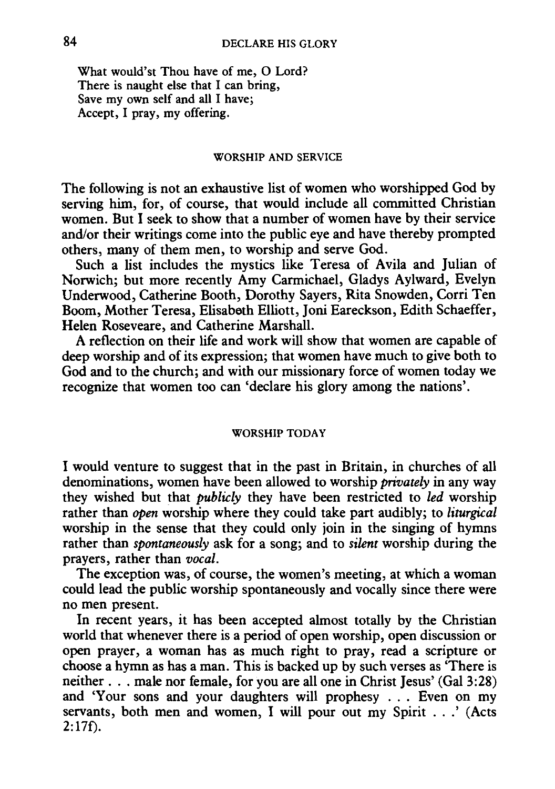What would'st Thou have of me, 0 Lord? There is naught else that I can bring, Save my own self and all I have; Accept, I pray, my offering.

#### WORSHIP AND SERVICE

The following is not an exhaustive list of women who worshipped God by serving him, for, of course, that would include all committed Christian women. But I seek to show that a number of women have by their service and/or their writings come into the public eye and have thereby prompted others, many of them men, to worship and serve God.

Such a list includes the mystics like Teresa of Avila and Julian of Norwich; but more recently Amy Carmichael, Gladys Aylward, Evelyn Underwood, Catherine Booth, Dorothy Sayers, Rita Snowden, Corri Ten Boom, Mother Teresa, Elisabeth Elliott, Joni Eareckson, Edith Schaeffer, Helen Roseveare, and Catherine Marshall.

A reflection on their life and work will show that women are capable of deep worship and of its expression; that women have much to give both to God and to the church; and with our missionary force of women today we recognize that women too can 'declare his glory among the nations'.

#### WORSHIP TODAY

I would venture to suggest that in the past in Britain, in churches of all denominations, women have been allowed to worship *privately* in any way they wished but that *publicly* they have been restricted to *led* worship rather than *open* worship where they could take part audibly; to *liturgical*  worship in the sense that they could only join in the singing of hymns rather than *spontaneously* ask for a song; and to *silent* worship during the prayers, rather than *vocal.* 

The exception was, of course, the women's meeting, at which a woman could lead the public worship spontaneously and vocally since there were no men present.

In recent years, it has been accepted almost totally by the Christian world that whenever there is a period of open worship, open discussion or open prayer, a woman has as much right to pray, read a scripture or choose a hymn as has a man. This is backed up by such verses as 'There is neither . . . male nor female, for you are all one in Christ Jesus' (Gal 3:28) and 'Your sons and your daughters will prophesy . . . Even on my servants, both men and women, I will pour out my Spirit ...' (Acts  $2:17f$ ).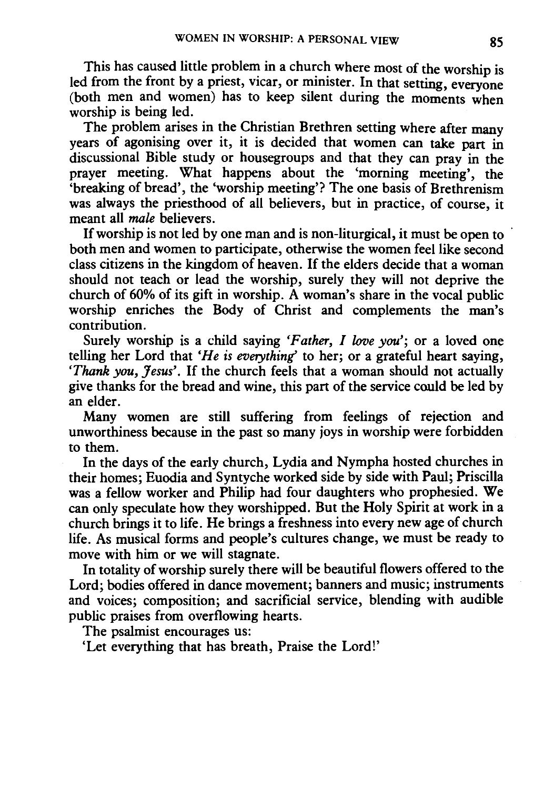This has caused little problem in a church where most of the worship is led from the front by a priest, vicar, or minister. In that setting, everyone (both men and women) has to keep silent during the moments when worship is being led.

The problem arises in the Christian Brethren setting where after many years of agonising over it, it is decided that women can take part in discussional Bible study or housegroups and that they can pray in the prayer meeting. What happens about the 'morning meeting', the 'breaking of bread', the 'worship meeting'? The one basis of Brethrenism was always the priesthood of all believers, but in practice, of course, it meant all *male* believers.

If worship is not led by one man and is non-liturgical, it must be open to both men and women to participate, otherwise the women feel like second class citizens in the kingdom of heaven. If the elders decide that a woman should not teach or lead the worship, surely they will not deprive the church of 60% of its gift in worship. A woman's share in the vocal public worship enriches the Body of Christ and complements the man's contribution.

Surely worship is a child saying *'Father, I love you';* or a loved one telling her Lord that *'He is everything'* to her; or a grateful heart saying, *'Thank you, Jesus'.* If the church feels that a woman should not actually give thanks for the bread and wine, this part of the service could be led by an elder.

Many women are still suffering from feelings of rejection and unworthiness because in the past so many joys in worship were forbidden to them.

In the days of the early church, Lydia and Nympha hosted churches in their homes; Euodia and Syntyche worked side by side with Paul; Priscilla was a fellow worker and Philip had four daughters who prophesied. We can only speculate how they worshipped. But the Holy Spirit at work in a church brings it to life. He brings a freshness into every new age of church life. As musical forms and people's cultures change, we must be ready to move with him or we will stagnate.

In totality of worship surely there will be beautiful flowers offered to the Lord; bodies offered in dance movement; banners and music; instruments and voices; composition; and sacrificial service, blending with audible public praises from overflowing hearts.

The psalmist encourages us:

'Let everything that has breath, Praise the Lord!'